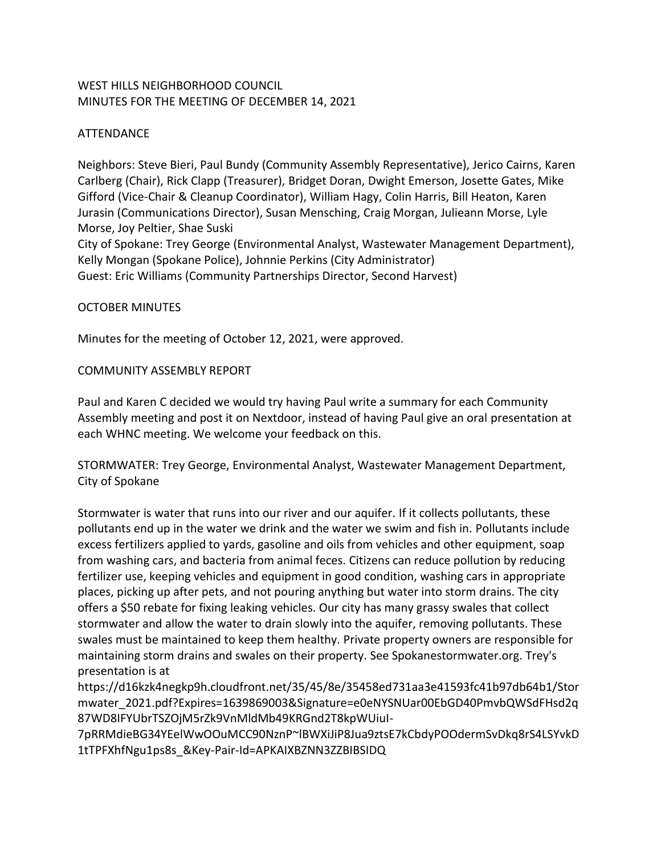# WEST HILLS NEIGHBORHOOD COUNCIL MINUTES FOR THE MEETING OF DECEMBER 14, 2021

#### ATTENDANCE

Neighbors: Steve Bieri, Paul Bundy (Community Assembly Representative), Jerico Cairns, Karen Carlberg (Chair), Rick Clapp (Treasurer), Bridget Doran, Dwight Emerson, Josette Gates, Mike Gifford (Vice-Chair & Cleanup Coordinator), William Hagy, Colin Harris, Bill Heaton, Karen Jurasin (Communications Director), Susan Mensching, Craig Morgan, Julieann Morse, Lyle Morse, Joy Peltier, Shae Suski City of Spokane: Trey George (Environmental Analyst, Wastewater Management Department), Kelly Mongan (Spokane Police), Johnnie Perkins (City Administrator)

Guest: Eric Williams (Community Partnerships Director, Second Harvest)

#### OCTOBER MINUTES

Minutes for the meeting of October 12, 2021, were approved.

#### COMMUNITY ASSEMBLY REPORT

Paul and Karen C decided we would try having Paul write a summary for each Community Assembly meeting and post it on Nextdoor, instead of having Paul give an oral presentation at each WHNC meeting. We welcome your feedback on this.

STORMWATER: Trey George, Environmental Analyst, Wastewater Management Department, City of Spokane

Stormwater is water that runs into our river and our aquifer. If it collects pollutants, these pollutants end up in the water we drink and the water we swim and fish in. Pollutants include excess fertilizers applied to yards, gasoline and oils from vehicles and other equipment, soap from washing cars, and bacteria from animal feces. Citizens can reduce pollution by reducing fertilizer use, keeping vehicles and equipment in good condition, washing cars in appropriate places, picking up after pets, and not pouring anything but water into storm drains. The city offers a \$50 rebate for fixing leaking vehicles. Our city has many grassy swales that collect stormwater and allow the water to drain slowly into the aquifer, removing pollutants. These swales must be maintained to keep them healthy. Private property owners are responsible for maintaining storm drains and swales on their property. See Spokanestormwater.org. Trey's presentation is at

https://d16kzk4negkp9h.cloudfront.net/35/45/8e/35458ed731aa3e41593fc41b97db64b1/Stor mwater\_2021.pdf?Expires=1639869003&Signature=e0eNYSNUar00EbGD40PmvbQWSdFHsd2q 87WD8IFYUbrTSZOjM5rZk9VnMldMb49KRGnd2T8kpWUiuI-

7pRRMdieBG34YEelWwOOuMCC90NznP~lBWXiJiP8Jua9ztsE7kCbdyPOOdermSvDkq8rS4LSYvkD 1tTPFXhfNgu1ps8s\_&Key-Pair-Id=APKAIXBZNN3ZZBIBSIDQ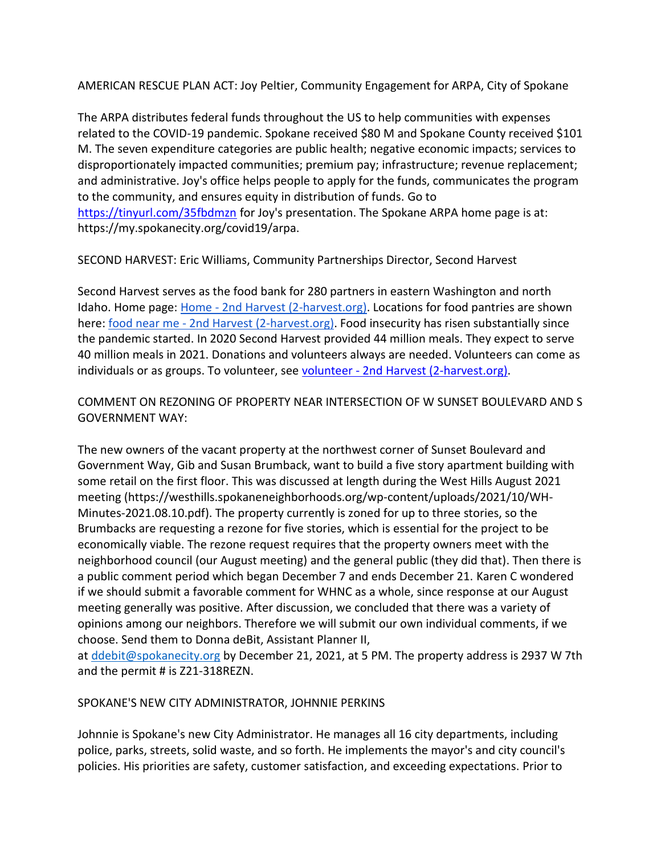AMERICAN RESCUE PLAN ACT: Joy Peltier, Community Engagement for ARPA, City of Spokane

The ARPA distributes federal funds throughout the US to help communities with expenses related to the COVID-19 pandemic. Spokane received \$80 M and Spokane County received \$101 M. The seven expenditure categories are public health; negative economic impacts; services to disproportionately impacted communities; premium pay; infrastructure; revenue replacement; and administrative. Joy's office helps people to apply for the funds, communicates the program to the community, and ensures equity in distribution of funds. Go to <https://tinyurl.com/35fbdmzn> for Joy's presentation. The Spokane ARPA home page is at: https://my.spokanecity.org/covid19/arpa.

SECOND HARVEST: Eric Williams, Community Partnerships Director, Second Harvest

Second Harvest serves as the food bank for 280 partners in eastern Washington and north Idaho. Home page: Home - [2nd Harvest \(2-harvest.org\).](https://2-harvest.org/) Locations for food pantries are shown here: food near me - [2nd Harvest \(2-harvest.org\).](https://2-harvest.org/food-near-me-wa/) Food insecurity has risen substantially since the pandemic started. In 2020 Second Harvest provided 44 million meals. They expect to serve 40 million meals in 2021. Donations and volunteers always are needed. Volunteers can come as individuals or as groups. To volunteer, see volunteer - [2nd Harvest \(2-harvest.org\).](https://2-harvest.org/volunteer/)

# COMMENT ON REZONING OF PROPERTY NEAR INTERSECTION OF W SUNSET BOULEVARD AND S GOVERNMENT WAY:

The new owners of the vacant property at the northwest corner of Sunset Boulevard and Government Way, Gib and Susan Brumback, want to build a five story apartment building with some retail on the first floor. This was discussed at length during the West Hills August 2021 meeting (https://westhills.spokaneneighborhoods.org/wp-content/uploads/2021/10/WH-Minutes-2021.08.10.pdf). The property currently is zoned for up to three stories, so the Brumbacks are requesting a rezone for five stories, which is essential for the project to be economically viable. The rezone request requires that the property owners meet with the neighborhood council (our August meeting) and the general public (they did that). Then there is a public comment period which began December 7 and ends December 21. Karen C wondered if we should submit a favorable comment for WHNC as a whole, since response at our August meeting generally was positive. After discussion, we concluded that there was a variety of opinions among our neighbors. Therefore we will submit our own individual comments, if we choose. Send them to Donna deBit, Assistant Planner II,

at [ddebit@spokanecity.org](mailto:ddebit@spokanecity.org) by December 21, 2021, at 5 PM. The property address is 2937 W 7th and the permit # is Z21-318REZN.

# SPOKANE'S NEW CITY ADMINISTRATOR, JOHNNIE PERKINS

Johnnie is Spokane's new City Administrator. He manages all 16 city departments, including police, parks, streets, solid waste, and so forth. He implements the mayor's and city council's policies. His priorities are safety, customer satisfaction, and exceeding expectations. Prior to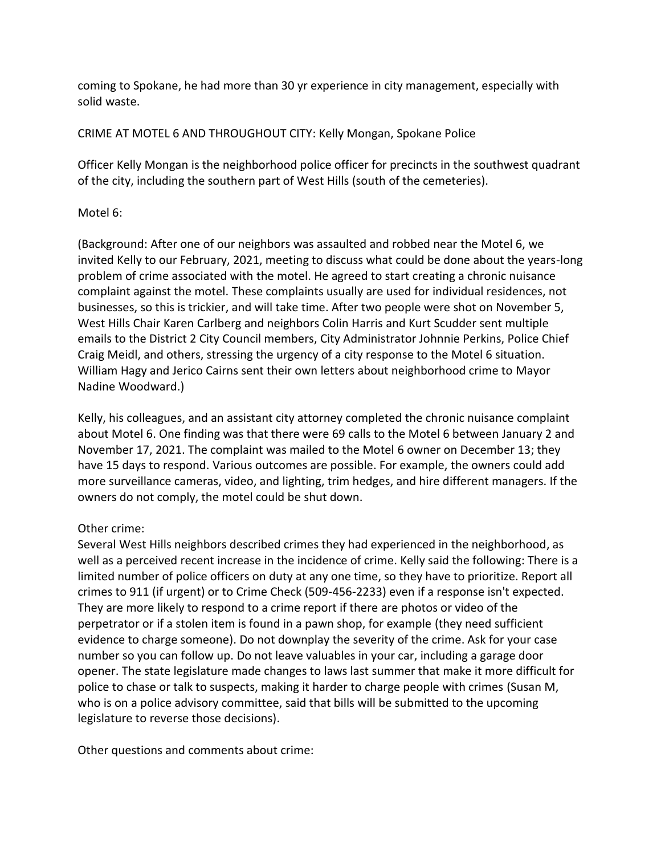coming to Spokane, he had more than 30 yr experience in city management, especially with solid waste.

# CRIME AT MOTEL 6 AND THROUGHOUT CITY: Kelly Mongan, Spokane Police

Officer Kelly Mongan is the neighborhood police officer for precincts in the southwest quadrant of the city, including the southern part of West Hills (south of the cemeteries).

#### Motel 6:

(Background: After one of our neighbors was assaulted and robbed near the Motel 6, we invited Kelly to our February, 2021, meeting to discuss what could be done about the years-long problem of crime associated with the motel. He agreed to start creating a chronic nuisance complaint against the motel. These complaints usually are used for individual residences, not businesses, so this is trickier, and will take time. After two people were shot on November 5, West Hills Chair Karen Carlberg and neighbors Colin Harris and Kurt Scudder sent multiple emails to the District 2 City Council members, City Administrator Johnnie Perkins, Police Chief Craig Meidl, and others, stressing the urgency of a city response to the Motel 6 situation. William Hagy and Jerico Cairns sent their own letters about neighborhood crime to Mayor Nadine Woodward.)

Kelly, his colleagues, and an assistant city attorney completed the chronic nuisance complaint about Motel 6. One finding was that there were 69 calls to the Motel 6 between January 2 and November 17, 2021. The complaint was mailed to the Motel 6 owner on December 13; they have 15 days to respond. Various outcomes are possible. For example, the owners could add more surveillance cameras, video, and lighting, trim hedges, and hire different managers. If the owners do not comply, the motel could be shut down.

# Other crime:

Several West Hills neighbors described crimes they had experienced in the neighborhood, as well as a perceived recent increase in the incidence of crime. Kelly said the following: There is a limited number of police officers on duty at any one time, so they have to prioritize. Report all crimes to 911 (if urgent) or to Crime Check (509-456-2233) even if a response isn't expected. They are more likely to respond to a crime report if there are photos or video of the perpetrator or if a stolen item is found in a pawn shop, for example (they need sufficient evidence to charge someone). Do not downplay the severity of the crime. Ask for your case number so you can follow up. Do not leave valuables in your car, including a garage door opener. The state legislature made changes to laws last summer that make it more difficult for police to chase or talk to suspects, making it harder to charge people with crimes (Susan M, who is on a police advisory committee, said that bills will be submitted to the upcoming legislature to reverse those decisions).

Other questions and comments about crime: